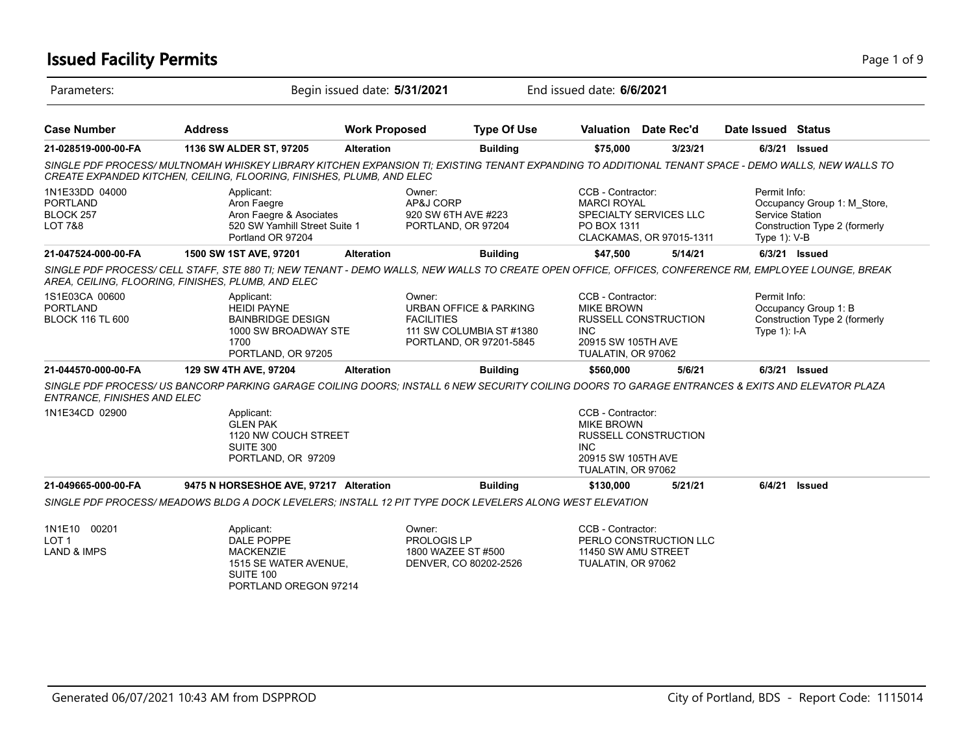# **Issued Facility Permits** Page 1 of 9 Page 1 of 9

| Parameters:                                                  |                                                                                                                                                                                                                             | Begin issued date: 5/31/2021 |                                                                                                                         | End issued date: 6/6/2021                                                                        |                                                    |                                                 |                                                              |
|--------------------------------------------------------------|-----------------------------------------------------------------------------------------------------------------------------------------------------------------------------------------------------------------------------|------------------------------|-------------------------------------------------------------------------------------------------------------------------|--------------------------------------------------------------------------------------------------|----------------------------------------------------|-------------------------------------------------|--------------------------------------------------------------|
| <b>Case Number</b>                                           | <b>Address</b>                                                                                                                                                                                                              | <b>Work Proposed</b>         | <b>Type Of Use</b>                                                                                                      |                                                                                                  | Valuation Date Rec'd                               | Date Issued Status                              |                                                              |
| 21-028519-000-00-FA                                          | 1136 SW ALDER ST, 97205                                                                                                                                                                                                     | <b>Alteration</b>            | <b>Building</b>                                                                                                         | \$75,000                                                                                         | 3/23/21                                            | 6/3/21                                          | Issued                                                       |
|                                                              | SINGLE PDF PROCESS/MULTNOMAH WHISKEY LIBRARY KITCHEN EXPANSION TI: EXISTING TENANT EXPANDING TO ADDITIONAL TENANT SPACE - DEMO WALLS, NEW WALLS TO<br>CREATE EXPANDED KITCHEN, CEILING, FLOORING, FINISHES, PLUMB, AND ELEC |                              |                                                                                                                         |                                                                                                  |                                                    |                                                 |                                                              |
| 1N1E33DD 04000<br><b>PORTLAND</b><br>BLOCK 257<br>LOT 7&8    | Applicant:<br>Aron Faegre<br>Aron Faegre & Asociates<br>520 SW Yamhill Street Suite 1<br>Portland OR 97204                                                                                                                  |                              | Owner:<br>AP&J CORP<br>920 SW 6TH AVE #223<br>PORTLAND, OR 97204                                                        | CCB - Contractor:<br><b>MARCI ROYAL</b><br>PO BOX 1311                                           | SPECIALTY SERVICES LLC<br>CLACKAMAS, OR 97015-1311 | Permit Info:<br>Service Station<br>Type 1): V-B | Occupancy Group 1: M Store,<br>Construction Type 2 (formerly |
| 21-047524-000-00-FA                                          | 1500 SW 1ST AVE, 97201                                                                                                                                                                                                      | <b>Alteration</b>            | <b>Building</b>                                                                                                         | \$47,500                                                                                         | 5/14/21                                            |                                                 | 6/3/21 Issued                                                |
|                                                              | SINGLE PDF PROCESS/ CELL STAFF, STE 880 TI; NEW TENANT - DEMO WALLS, NEW WALLS TO CREATE OPEN OFFICE, OFFICES, CONFERENCE RM, EMPLOYEE LOUNGE, BREAK<br>AREA, CEILING, FLOORING, FINISHES, PLUMB, AND ELEC                  |                              |                                                                                                                         |                                                                                                  |                                                    |                                                 |                                                              |
| 1S1E03CA 00600<br><b>PORTLAND</b><br><b>BLOCK 116 TL 600</b> | Applicant:<br><b>HEIDI PAYNE</b><br><b>BAINBRIDGE DESIGN</b><br>1000 SW BROADWAY STE<br>1700<br>PORTLAND, OR 97205                                                                                                          |                              | Owner:<br><b>URBAN OFFICE &amp; PARKING</b><br><b>FACILITIES</b><br>111 SW COLUMBIA ST #1380<br>PORTLAND, OR 97201-5845 | CCB - Contractor:<br><b>MIKE BROWN</b><br><b>INC</b><br>20915 SW 105TH AVE<br>TUALATIN, OR 97062 | <b>RUSSELL CONSTRUCTION</b>                        | Permit Info:<br>Type $1$ ): I-A                 | Occupancy Group 1: B<br>Construction Type 2 (formerly        |
| 21-044570-000-00-FA                                          | 129 SW 4TH AVE, 97204                                                                                                                                                                                                       | <b>Alteration</b>            | <b>Building</b>                                                                                                         | \$560,000                                                                                        | 5/6/21                                             |                                                 | 6/3/21 Issued                                                |
| ENTRANCE, FINISHES AND ELEC                                  | SINGLE PDF PROCESS/ US BANCORP PARKING GARAGE COILING DOORS; INSTALL 6 NEW SECURITY COILING DOORS TO GARAGE ENTRANCES & EXITS AND ELEVATOR PLAZA                                                                            |                              |                                                                                                                         |                                                                                                  |                                                    |                                                 |                                                              |
| 1N1E34CD 02900                                               | Applicant:<br><b>GLEN PAK</b><br>1120 NW COUCH STREET<br>SUITE 300<br>PORTLAND, OR 97209                                                                                                                                    |                              |                                                                                                                         | CCB - Contractor:<br><b>MIKE BROWN</b><br><b>INC</b><br>20915 SW 105TH AVE<br>TUALATIN, OR 97062 | <b>RUSSELL CONSTRUCTION</b>                        |                                                 |                                                              |
| 21-049665-000-00-FA                                          | 9475 N HORSESHOE AVE, 97217 Alteration                                                                                                                                                                                      |                              | <b>Building</b>                                                                                                         | \$130,000                                                                                        | 5/21/21                                            | 6/4/21                                          | <b>Issued</b>                                                |
|                                                              | SINGLE PDF PROCESS/ MEADOWS BLDG A DOCK LEVELERS; INSTALL 12 PIT TYPE DOCK LEVELERS ALONG WEST ELEVATION                                                                                                                    |                              |                                                                                                                         |                                                                                                  |                                                    |                                                 |                                                              |
| 1N1E10 00201<br>LOT <sub>1</sub><br><b>LAND &amp; IMPS</b>   | Applicant:<br>DALE POPPE<br><b>MACKENZIE</b><br>1515 SE WATER AVENUE,<br>SUITE 100<br>PORTLAND OREGON 97214                                                                                                                 |                              | Owner:<br>PROLOGIS LP<br>1800 WAZEE ST #500<br>DENVER, CO 80202-2526                                                    | CCB - Contractor:<br>11450 SW AMU STREET<br>TUALATIN, OR 97062                                   | PERLO CONSTRUCTION LLC                             |                                                 |                                                              |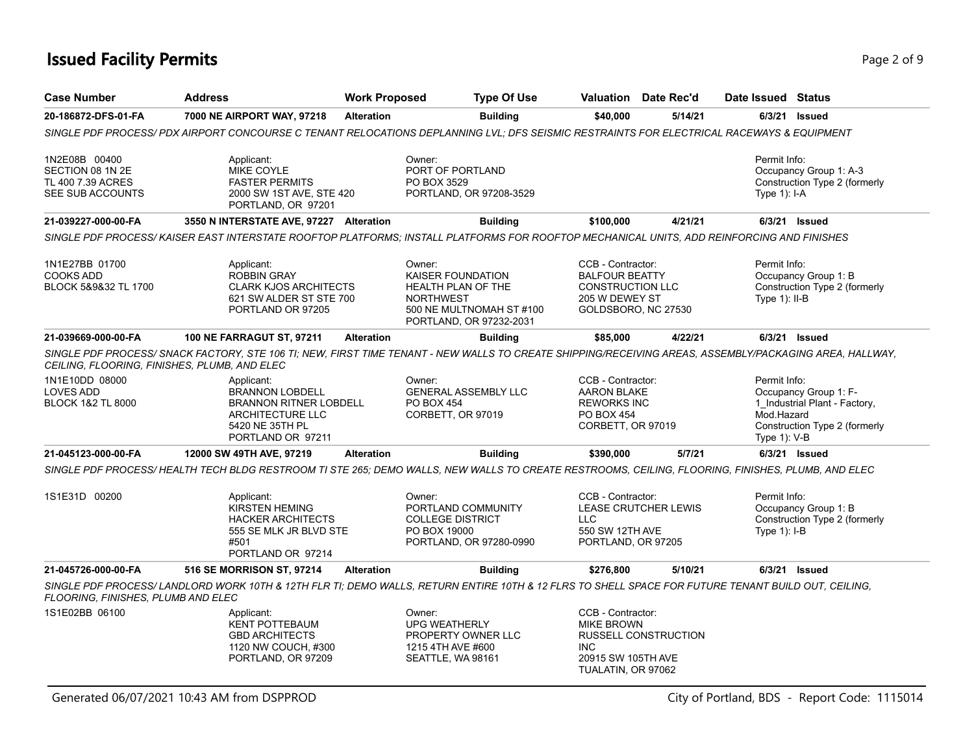# **Issued Facility Permits** Provide a strategies of 9 and 2 of 9 and 2 of 9 and 2 of 9 and 2 of 9 and 2 of 9 and 2 of 9

| <b>Case Number</b>                                                                                                                      | <b>Address</b>                                                                                                                                          | <b>Work Proposed</b> | <b>Type Of Use</b>                                                                                                           |                                                                                                                | Valuation Date Rec'd        | Date Issued Status                         |                                                                                         |
|-----------------------------------------------------------------------------------------------------------------------------------------|---------------------------------------------------------------------------------------------------------------------------------------------------------|----------------------|------------------------------------------------------------------------------------------------------------------------------|----------------------------------------------------------------------------------------------------------------|-----------------------------|--------------------------------------------|-----------------------------------------------------------------------------------------|
| 20-186872-DFS-01-FA                                                                                                                     | 7000 NE AIRPORT WAY, 97218                                                                                                                              | <b>Alteration</b>    | <b>Building</b>                                                                                                              | \$40,000                                                                                                       | 5/14/21                     |                                            | 6/3/21 Issued                                                                           |
|                                                                                                                                         | SINGLE PDF PROCESS/ PDX AIRPORT CONCOURSE C TENANT RELOCATIONS DEPLANNING LVL; DFS SEISMIC RESTRAINTS FOR ELECTRICAL RACEWAYS & EQUIPMENT               |                      |                                                                                                                              |                                                                                                                |                             |                                            |                                                                                         |
| 1N2E08B 00400<br>SECTION 08 1N 2E<br>TL 400 7.39 ACRES<br>SEE SUB ACCOUNTS                                                              | Applicant:<br>MIKE COYLE<br><b>FASTER PERMITS</b><br>2000 SW 1ST AVE, STE 420<br>PORTLAND, OR 97201                                                     |                      | Owner:<br>PORT OF PORTLAND<br>PO BOX 3529<br>PORTLAND, OR 97208-3529                                                         |                                                                                                                |                             | Permit Info:<br>Type 1): I-A               | Occupancy Group 1: A-3<br>Construction Type 2 (formerly                                 |
| 21-039227-000-00-FA                                                                                                                     | 3550 N INTERSTATE AVE, 97227 Alteration                                                                                                                 |                      | <b>Building</b>                                                                                                              | \$100,000                                                                                                      | 4/21/21                     |                                            | 6/3/21 Issued                                                                           |
|                                                                                                                                         | SINGLE PDF PROCESS/ KAISER EAST INTERSTATE ROOFTOP PLATFORMS; INSTALL PLATFORMS FOR ROOFTOP MECHANICAL UNITS, ADD REINFORCING AND FINISHES              |                      |                                                                                                                              |                                                                                                                |                             |                                            |                                                                                         |
| 1N1E27BB 01700<br><b>COOKS ADD</b><br>BLOCK 5&9&32 TL 1700                                                                              | Applicant:<br><b>ROBBIN GRAY</b><br><b>CLARK KJOS ARCHITECTS</b><br>621 SW ALDER ST STE 700<br>PORTLAND OR 97205                                        |                      | Owner:<br>KAISER FOUNDATION<br>HEALTH PLAN OF THE<br><b>NORTHWEST</b><br>500 NE MULTNOMAH ST #100<br>PORTLAND, OR 97232-2031 | CCB - Contractor:<br><b>BALFOUR BEATTY</b><br><b>CONSTRUCTION LLC</b><br>205 W DEWEY ST<br>GOLDSBORO, NC 27530 |                             | Permit Info:<br>Type $1$ ): II-B           | Occupancy Group 1: B<br>Construction Type 2 (formerly                                   |
| 21-039669-000-00-FA                                                                                                                     | <b>100 NE FARRAGUT ST, 97211</b>                                                                                                                        | <b>Alteration</b>    | <b>Building</b>                                                                                                              | \$85,000                                                                                                       | 4/22/21                     |                                            | 6/3/21 Issued                                                                           |
| CEILING, FLOORING, FINISHES, PLUMB, AND ELEC                                                                                            | SINGLE PDF PROCESS/ SNACK FACTORY, STE 106 TI; NEW, FIRST TIME TENANT - NEW WALLS TO CREATE SHIPPING/RECEIVING AREAS, ASSEMBLY/PACKAGING AREA, HALLWAY, |                      |                                                                                                                              |                                                                                                                |                             |                                            |                                                                                         |
| 1N1E10DD 08000<br><b>LOVES ADD</b><br><b>BLOCK 1&amp;2 TL 8000</b>                                                                      | Applicant:<br><b>BRANNON LOBDELL</b><br><b>BRANNON RITNER LOBDELL</b><br>ARCHITECTURE LLC<br>5420 NE 35TH PL<br>PORTLAND OR 97211                       |                      | Owner:<br><b>GENERAL ASSEMBLY LLC</b><br><b>PO BOX 454</b><br>CORBETT, OR 97019                                              | CCB - Contractor:<br><b>AARON BLAKE</b><br><b>REWORKS INC</b><br><b>PO BOX 454</b><br>CORBETT, OR 97019        |                             | Permit Info:<br>Mod.Hazard<br>Type 1): V-B | Occupancy Group 1: F-<br>1_Industrial Plant - Factory,<br>Construction Type 2 (formerly |
| 21-045123-000-00-FA                                                                                                                     | 12000 SW 49TH AVE, 97219                                                                                                                                | <b>Alteration</b>    | <b>Building</b>                                                                                                              | \$390,000                                                                                                      | 5/7/21                      |                                            | 6/3/21 Issued                                                                           |
|                                                                                                                                         | SINGLE PDF PROCESS/HEALTH TECH BLDG RESTROOM TI STE 265; DEMO WALLS, NEW WALLS TO CREATE RESTROOMS, CEILING, FLOORING, FINISHES, PLUMB, AND ELEC        |                      |                                                                                                                              |                                                                                                                |                             |                                            |                                                                                         |
| 1S1E31D 00200<br>Applicant:<br><b>KIRSTEN HEMING</b><br><b>HACKER ARCHITECTS</b><br>555 SE MLK JR BLVD STE<br>#501<br>PORTLAND OR 97214 |                                                                                                                                                         |                      | Owner:<br>PORTLAND COMMUNITY<br><b>COLLEGE DISTRICT</b><br>PO BOX 19000<br>PORTLAND, OR 97280-0990                           | CCB - Contractor:<br>LLC<br>550 SW 12TH AVE<br>PORTLAND, OR 97205                                              | <b>LEASE CRUTCHER LEWIS</b> | Permit Info:<br>Type 1): I-B               | Occupancy Group 1: B<br>Construction Type 2 (formerly                                   |
| 21-045726-000-00-FA                                                                                                                     | 516 SE MORRISON ST, 97214                                                                                                                               | <b>Alteration</b>    | <b>Building</b>                                                                                                              | \$276,800                                                                                                      | 5/10/21                     |                                            | 6/3/21 Issued                                                                           |
| FLOORING, FINISHES, PLUMB AND ELEC                                                                                                      | SINGLE PDF PROCESS/LANDLORD WORK 10TH & 12TH FLR TI; DEMO WALLS, RETURN ENTIRE 10TH & 12 FLRS TO SHELL SPACE FOR FUTURE TENANT BUILD OUT, CEILING,      |                      |                                                                                                                              |                                                                                                                |                             |                                            |                                                                                         |
| 1S1E02BB 06100                                                                                                                          | Applicant:<br><b>KENT POTTEBAUM</b><br><b>GBD ARCHITECTS</b><br>1120 NW COUCH, #300<br>PORTLAND, OR 97209                                               |                      | Owner:<br><b>UPG WEATHERLY</b><br>PROPERTY OWNER LLC<br>1215 4TH AVE #600<br>SEATTLE, WA 98161                               | CCB - Contractor:<br><b>MIKE BROWN</b><br><b>INC</b><br>20915 SW 105TH AVE<br>TUALATIN, OR 97062               | <b>RUSSELL CONSTRUCTION</b> |                                            |                                                                                         |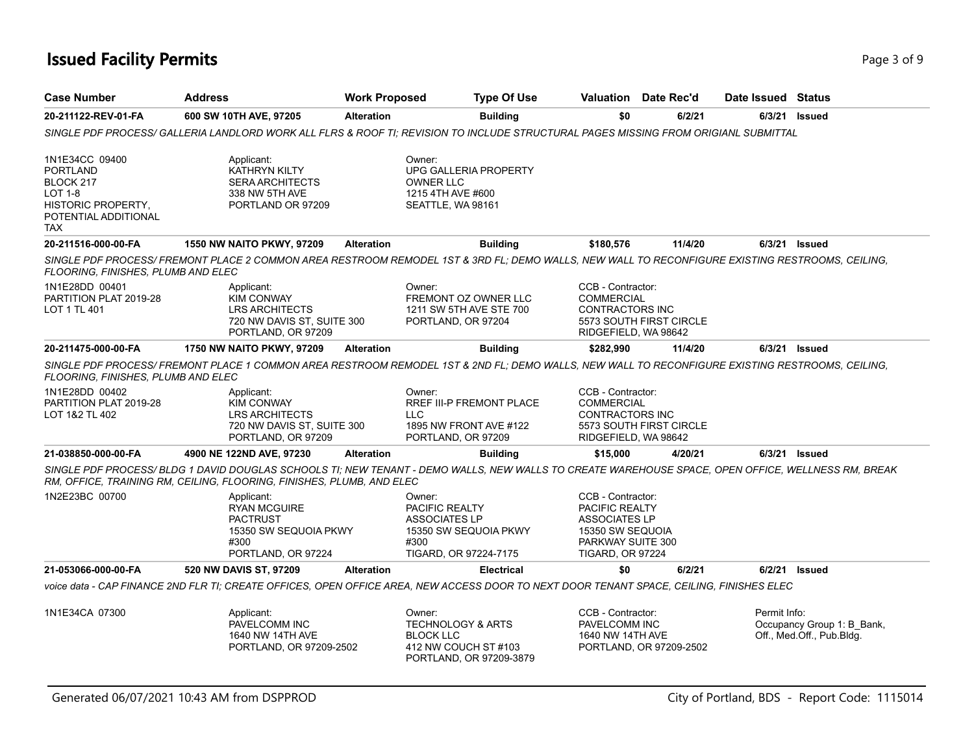# **Issued Facility Permits** Page 3 of 9 Page 3 of 9

| <b>Case Number</b>                                                                                                           | <b>Address</b>                                                                                                                                                                                                              | <b>Work Proposed</b> | <b>Type Of Use</b>                                                                                            | Valuation                                                                                                                       | Date Rec'd              | Date Issued Status |                                                         |
|------------------------------------------------------------------------------------------------------------------------------|-----------------------------------------------------------------------------------------------------------------------------------------------------------------------------------------------------------------------------|----------------------|---------------------------------------------------------------------------------------------------------------|---------------------------------------------------------------------------------------------------------------------------------|-------------------------|--------------------|---------------------------------------------------------|
| 20-211122-REV-01-FA                                                                                                          | 600 SW 10TH AVE, 97205                                                                                                                                                                                                      | <b>Alteration</b>    | <b>Building</b>                                                                                               | \$0                                                                                                                             | 6/2/21                  |                    | 6/3/21 Issued                                           |
|                                                                                                                              | SINGLE PDF PROCESS/ GALLERIA LANDLORD WORK ALL FLRS & ROOF TI: REVISION TO INCLUDE STRUCTURAL PAGES MISSING FROM ORIGIANL SUBMITTAL                                                                                         |                      |                                                                                                               |                                                                                                                                 |                         |                    |                                                         |
| 1N1E34CC 09400<br><b>PORTLAND</b><br>BLOCK 217<br><b>LOT 1-8</b><br><b>HISTORIC PROPERTY,</b><br>POTENTIAL ADDITIONAL<br>TAX | Applicant:<br><b>KATHRYN KILTY</b><br><b>SERA ARCHITECTS</b><br>338 NW 5TH AVE<br>PORTLAND OR 97209                                                                                                                         |                      | Owner:<br>UPG GALLERIA PROPERTY<br>OWNER LLC<br>1215 4TH AVE #600<br>SEATTLE, WA 98161                        |                                                                                                                                 |                         |                    |                                                         |
| 20-211516-000-00-FA                                                                                                          | <b>1550 NW NAITO PKWY, 97209</b>                                                                                                                                                                                            | <b>Alteration</b>    | <b>Building</b>                                                                                               | \$180,576                                                                                                                       | 11/4/20                 |                    | $6/3/21$ Issued                                         |
| FLOORING, FINISHES, PLUMB AND ELEC                                                                                           | SINGLE PDF PROCESS/FREMONT PLACE 2 COMMON AREA RESTROOM REMODEL 1ST & 3RD FL; DEMO WALLS, NEW WALL TO RECONFIGURE EXISTING RESTROOMS, CEILING,                                                                              |                      |                                                                                                               |                                                                                                                                 |                         |                    |                                                         |
| 1N1E28DD 00401<br>PARTITION PLAT 2019-28<br>LOT 1 TL 401                                                                     | Applicant:<br><b>KIM CONWAY</b><br><b>LRS ARCHITECTS</b><br>720 NW DAVIS ST, SUITE 300<br>PORTLAND, OR 97209                                                                                                                |                      | Owner:<br>FREMONT OZ OWNER LLC<br>1211 SW 5TH AVE STE 700<br>PORTLAND, OR 97204                               | CCB - Contractor:<br><b>COMMERCIAL</b><br><b>CONTRACTORS INC</b><br>RIDGEFIELD, WA 98642                                        | 5573 SOUTH FIRST CIRCLE |                    |                                                         |
| 20-211475-000-00-FA                                                                                                          | 1750 NW NAITO PKWY, 97209                                                                                                                                                                                                   | <b>Alteration</b>    | <b>Building</b>                                                                                               | \$282,990                                                                                                                       | 11/4/20                 |                    | 6/3/21 Issued                                           |
| FLOORING, FINISHES, PLUMB AND ELEC                                                                                           | SINGLE PDF PROCESS/ FREMONT PLACE 1 COMMON AREA RESTROOM REMODEL 1ST & 2ND FL; DEMO WALLS, NEW WALL TO RECONFIGURE EXISTING RESTROOMS, CEILING,                                                                             |                      |                                                                                                               |                                                                                                                                 |                         |                    |                                                         |
| 1N1E28DD 00402<br>PARTITION PLAT 2019-28<br>LOT 1&2 TL 402                                                                   | Applicant:<br><b>KIM CONWAY</b><br><b>LRS ARCHITECTS</b><br>720 NW DAVIS ST, SUITE 300<br>PORTLAND, OR 97209                                                                                                                |                      | Owner:<br>RREF III-P FREMONT PLACE<br><b>LLC</b><br>1895 NW FRONT AVE #122<br>PORTLAND, OR 97209              | CCB - Contractor:<br><b>COMMERCIAL</b><br>CONTRACTORS INC<br>RIDGEFIELD, WA 98642                                               | 5573 SOUTH FIRST CIRCLE |                    |                                                         |
| 21-038850-000-00-FA                                                                                                          | 4900 NE 122ND AVE, 97230                                                                                                                                                                                                    | <b>Alteration</b>    | <b>Building</b>                                                                                               | \$15,000                                                                                                                        | 4/20/21                 |                    | 6/3/21 Issued                                           |
|                                                                                                                              | SINGLE PDF PROCESS/ BLDG 1 DAVID DOUGLAS SCHOOLS TI; NEW TENANT - DEMO WALLS, NEW WALLS TO CREATE WAREHOUSE SPACE, OPEN OFFICE, WELLNESS RM, BREAK<br>RM, OFFICE, TRAINING RM, CEILING, FLOORING, FINISHES, PLUMB, AND ELEC |                      |                                                                                                               |                                                                                                                                 |                         |                    |                                                         |
| 1N2E23BC 00700                                                                                                               | Applicant:<br><b>RYAN MCGUIRE</b><br><b>PACTRUST</b><br>15350 SW SEQUOIA PKWY<br>#300<br>PORTLAND, OR 97224                                                                                                                 |                      | Owner:<br>PACIFIC REALTY<br><b>ASSOCIATES LP</b><br>15350 SW SEQUOIA PKWY<br>#300<br>TIGARD, OR 97224-7175    | CCB - Contractor:<br>PACIFIC REALTY<br><b>ASSOCIATES LP</b><br>15350 SW SEQUOIA<br>PARKWAY SUITE 300<br><b>TIGARD, OR 97224</b> |                         |                    |                                                         |
| 21-053066-000-00-FA                                                                                                          | 520 NW DAVIS ST, 97209                                                                                                                                                                                                      | <b>Alteration</b>    | <b>Electrical</b>                                                                                             | \$0                                                                                                                             | 6/2/21                  |                    | 6/2/21 Issued                                           |
|                                                                                                                              | voice data - CAP FINANCE 2ND FLR TI; CREATE OFFICES, OPEN OFFICE AREA, NEW ACCESS DOOR TO NEXT DOOR TENANT SPACE, CEILING, FINISHES ELEC                                                                                    |                      |                                                                                                               |                                                                                                                                 |                         |                    |                                                         |
| 1N1E34CA 07300                                                                                                               | Applicant:<br>PAVELCOMM INC<br>1640 NW 14TH AVE<br>PORTLAND, OR 97209-2502                                                                                                                                                  |                      | Owner:<br><b>TECHNOLOGY &amp; ARTS</b><br><b>BLOCK LLC</b><br>412 NW COUCH ST #103<br>PORTLAND, OR 97209-3879 | CCB - Contractor:<br>PAVELCOMM INC<br>1640 NW 14TH AVE                                                                          | PORTLAND, OR 97209-2502 | Permit Info:       | Occupancy Group 1: B_Bank,<br>Off., Med.Off., Pub.Bldg. |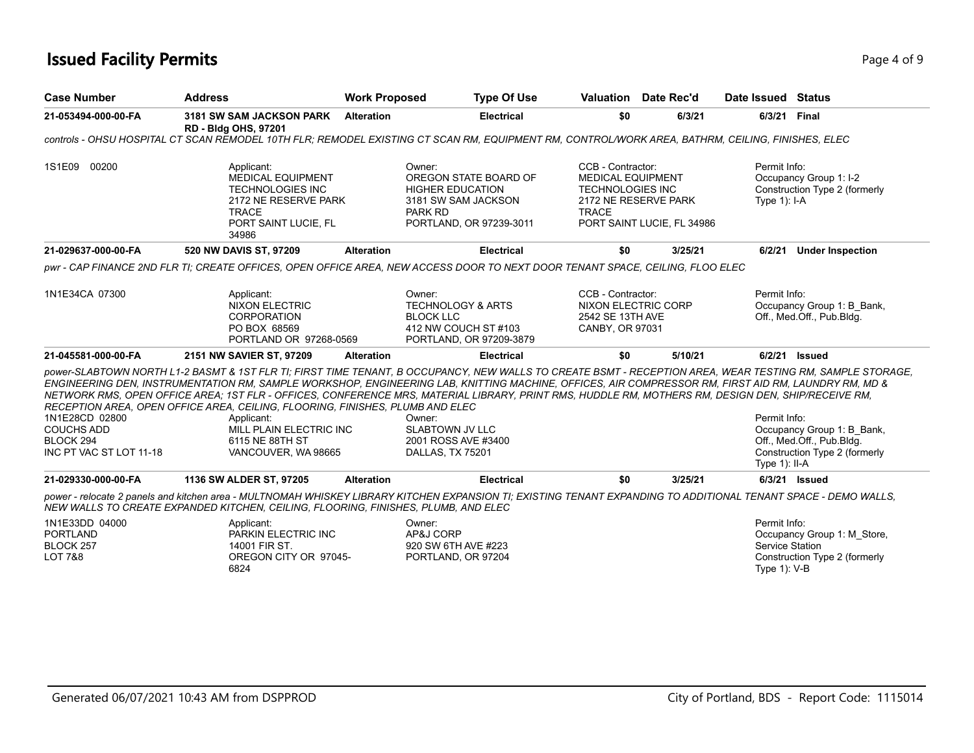# **Issued Facility Permits** Page 4 of 9 Page 4 of 9

| <b>Case Number</b>                                                          | <b>Address</b>                                                                                                                                                                                                                                                                                                                                                                                                                                                                                                                                                                                                                             | <b>Work Proposed</b> |                                                                                                                         | <b>Type Of Use</b> |                                                                                          | <b>Valuation</b> Date Rec'd                        | Date Issued Status                                 |                                                                                          |
|-----------------------------------------------------------------------------|--------------------------------------------------------------------------------------------------------------------------------------------------------------------------------------------------------------------------------------------------------------------------------------------------------------------------------------------------------------------------------------------------------------------------------------------------------------------------------------------------------------------------------------------------------------------------------------------------------------------------------------------|----------------------|-------------------------------------------------------------------------------------------------------------------------|--------------------|------------------------------------------------------------------------------------------|----------------------------------------------------|----------------------------------------------------|------------------------------------------------------------------------------------------|
| 21-053494-000-00-FA                                                         | 3181 SW SAM JACKSON PARK<br><b>RD - Bldg OHS, 97201</b>                                                                                                                                                                                                                                                                                                                                                                                                                                                                                                                                                                                    | <b>Alteration</b>    |                                                                                                                         | <b>Electrical</b>  | \$0                                                                                      | 6/3/21                                             | 6/3/21 Final                                       |                                                                                          |
|                                                                             | controls - OHSU HOSPITAL CT SCAN REMODEL 10TH FLR; REMODEL EXISTING CT SCAN RM, EQUIPMENT RM, CONTROL/WORK AREA, BATHRM, CEILING, FINISHES, ELEC                                                                                                                                                                                                                                                                                                                                                                                                                                                                                           |                      |                                                                                                                         |                    |                                                                                          |                                                    |                                                    |                                                                                          |
| 1S1E09<br>00200                                                             | Applicant:<br><b>MEDICAL EQUIPMENT</b><br><b>TECHNOLOGIES INC</b><br>2172 NE RESERVE PARK<br><b>TRACE</b><br>PORT SAINT LUCIE, FL<br>34986                                                                                                                                                                                                                                                                                                                                                                                                                                                                                                 |                      | Owner:<br>OREGON STATE BOARD OF<br><b>HIGHER EDUCATION</b><br>3181 SW SAM JACKSON<br>PARK RD<br>PORTLAND, OR 97239-3011 |                    | CCB - Contractor:<br><b>MEDICAL EQUIPMENT</b><br><b>TECHNOLOGIES INC</b><br><b>TRACE</b> | 2172 NE RESERVE PARK<br>PORT SAINT LUCIE, FL 34986 | Permit Info:<br>Type $1$ : I-A                     | Occupancy Group 1: I-2<br>Construction Type 2 (formerly                                  |
| 21-029637-000-00-FA                                                         | 520 NW DAVIS ST, 97209                                                                                                                                                                                                                                                                                                                                                                                                                                                                                                                                                                                                                     | <b>Alteration</b>    |                                                                                                                         | <b>Electrical</b>  | \$0                                                                                      | 3/25/21                                            | 6/2/21                                             | <b>Under Inspection</b>                                                                  |
|                                                                             | pwr - CAP FINANCE 2ND FLR TI: CREATE OFFICES, OPEN OFFICE AREA, NEW ACCESS DOOR TO NEXT DOOR TENANT SPACE, CEILING, FLOO ELEC                                                                                                                                                                                                                                                                                                                                                                                                                                                                                                              |                      |                                                                                                                         |                    |                                                                                          |                                                    |                                                    |                                                                                          |
| 1N1E34CA 07300                                                              | Applicant:<br><b>NIXON ELECTRIC</b><br><b>CORPORATION</b><br>PO BOX 68569<br>PORTLAND OR 97268-0569                                                                                                                                                                                                                                                                                                                                                                                                                                                                                                                                        |                      | Owner:<br><b>TECHNOLOGY &amp; ARTS</b><br><b>BLOCK LLC</b><br>412 NW COUCH ST #103<br>PORTLAND, OR 97209-3879           |                    | CCB - Contractor:<br><b>NIXON ELECTRIC CORP</b><br>2542 SE 13TH AVE<br>CANBY, OR 97031   |                                                    | Permit Info:                                       | Occupancy Group 1: B Bank,<br>Off., Med.Off., Pub.Bldg.                                  |
| 21-045581-000-00-FA                                                         | 2151 NW SAVIER ST, 97209                                                                                                                                                                                                                                                                                                                                                                                                                                                                                                                                                                                                                   | <b>Alteration</b>    |                                                                                                                         | <b>Electrical</b>  | \$0                                                                                      | 5/10/21                                            |                                                    | 6/2/21 Issued                                                                            |
| 1N1E28CD 02800<br><b>COUCHS ADD</b><br>BLOCK 294<br>INC PT VAC ST LOT 11-18 | DOWER-SLABTOWN NORTH L1-2 BASMT & 1ST FLR TI: FIRST TIME TENANT. B OCCUPANCY, NEW WALLS TO CREATE BSMT - RECEPTION AREA, WEAR TESTING RM. SAMPLE STORAGE.<br>ENGINEERING DEN, INSTRUMENTATION RM, SAMPLE WORKSHOP, ENGINEERING LAB, KNITTING MACHINE, OFFICES, AIR COMPRESSOR RM, FIRST AID RM, LAUNDRY RM, MD &<br>NETWORK RMS, OPEN OFFICE AREA; 1ST FLR - OFFICES, CONFERENCE MRS, MATERIAL LIBRARY, PRINT RMS, HUDDLE RM, MOTHERS RM, DESIGN DEN, SHIP/RECEIVE RM,<br>RECEPTION AREA, OPEN OFFICE AREA, CEILING, FLOORING, FINISHES, PLUMB AND ELEC<br>Applicant:<br>MILL PLAIN ELECTRIC INC<br>6115 NE 88TH ST<br>VANCOUVER, WA 98665 |                      | Owner:<br><b>SLABTOWN JV LLC</b><br>2001 ROSS AVE #3400<br>DALLAS, TX 75201                                             |                    |                                                                                          |                                                    | Permit Info:<br>Type $1$ : II-A                    | Occupancy Group 1: B_Bank,<br>Off., Med.Off., Pub.Bldg.<br>Construction Type 2 (formerly |
| 21-029330-000-00-FA                                                         | 1136 SW ALDER ST, 97205                                                                                                                                                                                                                                                                                                                                                                                                                                                                                                                                                                                                                    | <b>Alteration</b>    |                                                                                                                         | <b>Electrical</b>  | \$0                                                                                      | 3/25/21                                            |                                                    | 6/3/21 Issued                                                                            |
|                                                                             | power - relocate 2 panels and kitchen area - MULTNOMAH WHISKEY LIBRARY KITCHEN EXPANSION TI; EXISTING TENANT EXPANDING TO ADDITIONAL TENANT SPACE - DEMO WALLS,<br>NEW WALLS TO CREATE EXPANDED KITCHEN, CEILING, FLOORING, FINISHES, PLUMB, AND ELEC                                                                                                                                                                                                                                                                                                                                                                                      |                      |                                                                                                                         |                    |                                                                                          |                                                    |                                                    |                                                                                          |
| 1N1E33DD 04000<br><b>PORTLAND</b><br>BLOCK 257<br><b>LOT 7&amp;8</b>        | Applicant:<br>PARKIN ELECTRIC INC<br>14001 FIR ST.<br>OREGON CITY OR 97045-<br>6824                                                                                                                                                                                                                                                                                                                                                                                                                                                                                                                                                        |                      | Owner:<br>AP&J CORP<br>920 SW 6TH AVE #223<br>PORTLAND, OR 97204                                                        |                    |                                                                                          |                                                    | Permit Info:<br>Service Station<br>Type $1$ ): V-B | Occupancy Group 1: M Store,<br>Construction Type 2 (formerly                             |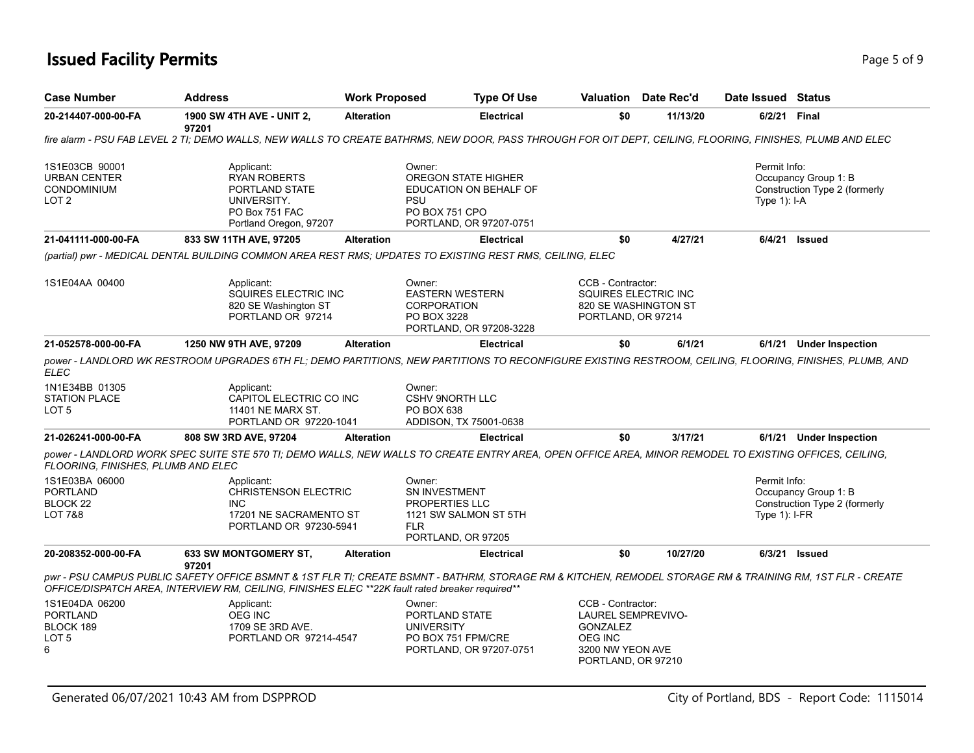# **Issued Facility Permits** Page 1 of 9 Page 1 of 9

| <b>Case Number</b>                                                       | <b>Address</b>                                                                                                                                                                                                                                               | <b>Work Proposed</b> | <b>Type Of Use</b>                                                                                          |                                                                                           | Valuation Date Rec'd | Date Issued Status               |                                                       |
|--------------------------------------------------------------------------|--------------------------------------------------------------------------------------------------------------------------------------------------------------------------------------------------------------------------------------------------------------|----------------------|-------------------------------------------------------------------------------------------------------------|-------------------------------------------------------------------------------------------|----------------------|----------------------------------|-------------------------------------------------------|
| 20-214407-000-00-FA                                                      | <b>1900 SW 4TH AVE - UNIT 2,</b><br>97201                                                                                                                                                                                                                    | <b>Alteration</b>    | <b>Electrical</b>                                                                                           | \$0                                                                                       | 11/13/20             | 6/2/21 Final                     |                                                       |
|                                                                          | fire alarm - PSU FAB LEVEL 2 TI; DEMO WALLS, NEW WALLS TO CREATE BATHRMS, NEW DOOR, PASS THROUGH FOR OIT DEPT, CEILING, FLOORING, FINISHES, PLUMB AND ELEC                                                                                                   |                      |                                                                                                             |                                                                                           |                      |                                  |                                                       |
| 1S1E03CB 90001<br><b>URBAN CENTER</b><br>CONDOMINIUM<br>LOT <sub>2</sub> | Applicant:<br><b>RYAN ROBERTS</b><br>PORTLAND STATE<br>UNIVERSITY.<br>PO Box 751 FAC<br>Portland Oregon, 97207                                                                                                                                               |                      | Owner:<br>OREGON STATE HIGHER<br>EDUCATION ON BEHALF OF<br>PSU<br>PO BOX 751 CPO<br>PORTLAND, OR 97207-0751 |                                                                                           |                      | Permit Info:<br>Type $1$ : I-A   | Occupancy Group 1: B<br>Construction Type 2 (formerly |
| 21-041111-000-00-FA                                                      | 833 SW 11TH AVE, 97205                                                                                                                                                                                                                                       | <b>Alteration</b>    | <b>Electrical</b>                                                                                           | \$0                                                                                       | 4/27/21              |                                  | 6/4/21 Issued                                         |
|                                                                          | (partial) pwr - MEDICAL DENTAL BUILDING COMMON AREA REST RMS: UPDATES TO EXISTING REST RMS, CEILING, ELEC                                                                                                                                                    |                      |                                                                                                             |                                                                                           |                      |                                  |                                                       |
| 1S1E04AA 00400                                                           | Applicant:<br>SQUIRES ELECTRIC INC<br>820 SE Washington ST<br>PORTLAND OR 97214                                                                                                                                                                              |                      | Owner:<br><b>EASTERN WESTERN</b><br><b>CORPORATION</b><br>PO BOX 3228<br>PORTLAND, OR 97208-3228            | CCB - Contractor:<br>SQUIRES ELECTRIC INC<br>820 SE WASHINGTON ST<br>PORTLAND, OR 97214   |                      |                                  |                                                       |
| 21-052578-000-00-FA                                                      | 1250 NW 9TH AVE, 97209                                                                                                                                                                                                                                       | <b>Alteration</b>    | <b>Electrical</b>                                                                                           | \$0                                                                                       | 6/1/21               |                                  | 6/1/21 Under Inspection                               |
| <b>ELEC</b>                                                              | power - LANDLORD WK RESTROOM UPGRADES 6TH FL; DEMO PARTITIONS, NEW PARTITIONS TO RECONFIGURE EXISTING RESTROOM, CEILING, FLOORING, FINISHES, PLUMB, AND                                                                                                      |                      |                                                                                                             |                                                                                           |                      |                                  |                                                       |
| 1N1E34BB 01305<br><b>STATION PLACE</b><br>LOT <sub>5</sub>               | Applicant:<br>CAPITOL ELECTRIC CO INC<br>11401 NE MARX ST.<br>PORTLAND OR 97220-1041                                                                                                                                                                         |                      | Owner:<br><b>CSHV 9NORTH LLC</b><br>PO BOX 638<br>ADDISON, TX 75001-0638                                    |                                                                                           |                      |                                  |                                                       |
| 21-026241-000-00-FA                                                      | 808 SW 3RD AVE, 97204                                                                                                                                                                                                                                        | <b>Alteration</b>    | <b>Electrical</b>                                                                                           | \$0                                                                                       | 3/17/21              |                                  | 6/1/21 Under Inspection                               |
| FLOORING, FINISHES, PLUMB AND ELEC                                       | power - LANDLORD WORK SPEC SUITE STE 570 TI; DEMO WALLS, NEW WALLS TO CREATE ENTRY AREA, OPEN OFFICE AREA, MINOR REMODEL TO EXISTING OFFICES, CEILING,                                                                                                       |                      |                                                                                                             |                                                                                           |                      |                                  |                                                       |
| 1S1E03BA 06000<br><b>PORTLAND</b><br>BLOCK 22<br><b>LOT 7&amp;8</b>      | Applicant:<br><b>CHRISTENSON ELECTRIC</b><br><b>INC</b><br>17201 NE SACRAMENTO ST<br>PORTLAND OR 97230-5941                                                                                                                                                  |                      | Owner:<br>SN INVESTMENT<br>PROPERTIES LLC<br>1121 SW SALMON ST 5TH<br><b>FLR</b><br>PORTLAND, OR 97205      |                                                                                           |                      | Permit Info:<br>Type $1$ ): I-FR | Occupancy Group 1: B<br>Construction Type 2 (formerly |
| 20-208352-000-00-FA                                                      | <b>633 SW MONTGOMERY ST,</b><br>97201                                                                                                                                                                                                                        | <b>Alteration</b>    | <b>Electrical</b>                                                                                           | \$0                                                                                       | 10/27/20             |                                  | $6/3/21$ Issued                                       |
|                                                                          | pwr - PSU CAMPUS PUBLIC SAFETY OFFICE BSMNT & 1ST FLR TI; CREATE BSMNT - BATHRM, STORAGE RM & KITCHEN, REMODEL STORAGE RM & TRAINING RM, 1ST FLR - CREATE<br>OFFICE/DISPATCH AREA, INTERVIEW RM, CEILING, FINISHES ELEC **22K fault rated breaker required** |                      |                                                                                                             |                                                                                           |                      |                                  |                                                       |
| 1S1E04DA 06200<br><b>PORTLAND</b><br>BLOCK 189<br>LOT 5<br>6             | Applicant:<br>OEG INC<br>1709 SE 3RD AVE.<br>PORTLAND OR 97214-4547                                                                                                                                                                                          |                      | Owner:<br>PORTLAND STATE<br><b>UNIVERSITY</b><br>PO BOX 751 FPM/CRE<br>PORTLAND, OR 97207-0751              | CCB - Contractor:<br>LAUREL SEMPREVIVO-<br>GONZALEZ<br><b>OEG INC</b><br>3200 NW YEON AVE |                      |                                  |                                                       |

PORTLAND, OR 97210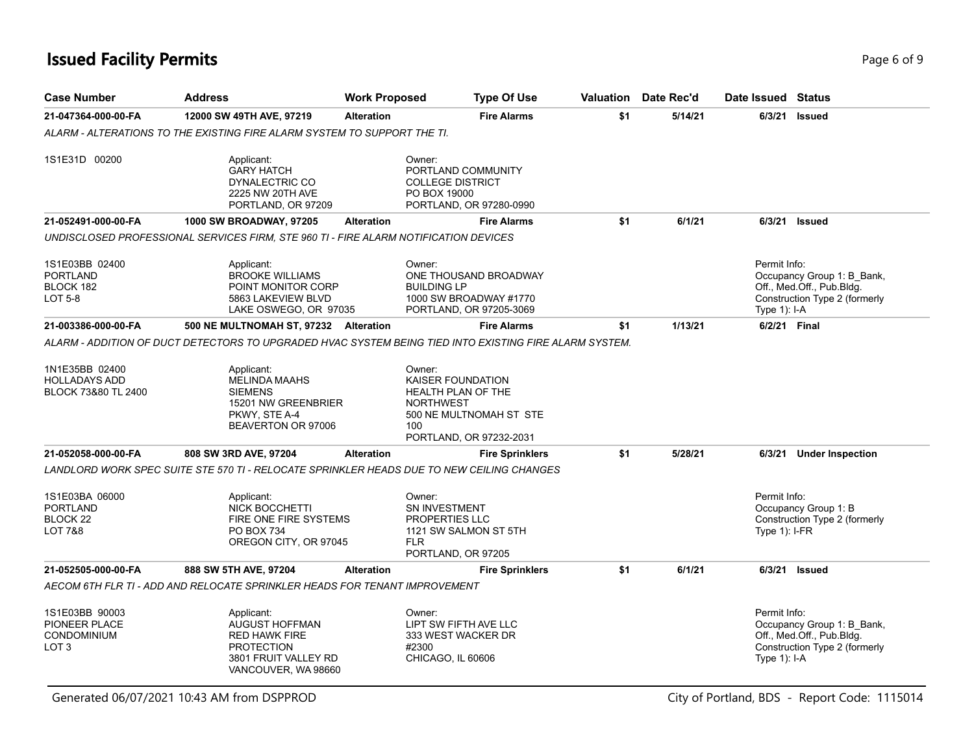# **Issued Facility Permits** Page 6 of 9 Page 6 of 9

| <b>Case Number</b>                                                               | <b>Address</b>                                                                                                           | <b>Work Proposed</b> | <b>Type Of Use</b>                                                                                                                               |     | Valuation Date Rec'd | Date Issued Status              |                                                                                          |
|----------------------------------------------------------------------------------|--------------------------------------------------------------------------------------------------------------------------|----------------------|--------------------------------------------------------------------------------------------------------------------------------------------------|-----|----------------------|---------------------------------|------------------------------------------------------------------------------------------|
| 21-047364-000-00-FA                                                              | 12000 SW 49TH AVE, 97219                                                                                                 | <b>Alteration</b>    | <b>Fire Alarms</b>                                                                                                                               | \$1 | 5/14/21              | 6/3/21 Issued                   |                                                                                          |
|                                                                                  | ALARM - ALTERATIONS TO THE EXISTING FIRE ALARM SYSTEM TO SUPPORT THE TI.                                                 |                      |                                                                                                                                                  |     |                      |                                 |                                                                                          |
| 1S1E31D 00200                                                                    | Applicant:<br><b>GARY HATCH</b><br>DYNALECTRIC CO<br>2225 NW 20TH AVE<br>PORTLAND, OR 97209                              |                      | Owner:<br>PORTLAND COMMUNITY<br><b>COLLEGE DISTRICT</b><br>PO BOX 19000<br>PORTLAND, OR 97280-0990                                               |     |                      |                                 |                                                                                          |
| 21-052491-000-00-FA                                                              | 1000 SW BROADWAY, 97205                                                                                                  | <b>Alteration</b>    | <b>Fire Alarms</b>                                                                                                                               | \$1 | 6/1/21               | 6/3/21 Issued                   |                                                                                          |
|                                                                                  | UNDISCLOSED PROFESSIONAL SERVICES FIRM, STE 960 TI - FIRE ALARM NOTIFICATION DEVICES                                     |                      |                                                                                                                                                  |     |                      |                                 |                                                                                          |
| 1S1E03BB 02400<br><b>PORTLAND</b><br>BLOCK 182<br>LOT 5-8                        | Applicant:<br><b>BROOKE WILLIAMS</b><br>POINT MONITOR CORP<br>5863 LAKEVIEW BLVD<br>LAKE OSWEGO, OR 97035                |                      | Owner:<br>ONE THOUSAND BROADWAY<br><b>BUILDING LP</b><br>1000 SW BROADWAY #1770<br>PORTLAND, OR 97205-3069                                       |     |                      | Permit Info:<br>Type 1): I-A    | Occupancy Group 1: B_Bank,<br>Off., Med.Off., Pub.Bldg.<br>Construction Type 2 (formerly |
| 21-003386-000-00-FA                                                              | 500 NE MULTNOMAH ST, 97232 Alteration                                                                                    |                      | <b>Fire Alarms</b>                                                                                                                               | \$1 | 1/13/21              | 6/2/21 Final                    |                                                                                          |
|                                                                                  |                                                                                                                          |                      | ALARM - ADDITION OF DUCT DETECTORS TO UPGRADED HVAC SYSTEM BEING TIED INTO EXISTING FIRE ALARM SYSTEM.                                           |     |                      |                                 |                                                                                          |
| 1N1E35BB 02400<br><b>HOLLADAYS ADD</b><br>BLOCK 73&80 TL 2400                    | Applicant:<br><b>MELINDA MAAHS</b><br><b>SIEMENS</b><br>15201 NW GREENBRIER<br>PKWY, STE A-4<br>BEAVERTON OR 97006       |                      | Owner:<br><b>KAISER FOUNDATION</b><br><b>HEALTH PLAN OF THE</b><br><b>NORTHWEST</b><br>500 NE MULTNOMAH ST STE<br>100<br>PORTLAND, OR 97232-2031 |     |                      |                                 |                                                                                          |
| 21-052058-000-00-FA                                                              | 808 SW 3RD AVE, 97204                                                                                                    | <b>Alteration</b>    | <b>Fire Sprinklers</b>                                                                                                                           | \$1 | 5/28/21              |                                 | 6/3/21 Under Inspection                                                                  |
|                                                                                  | LANDLORD WORK SPEC SUITE STE 570 TI - RELOCATE SPRINKLER HEADS DUE TO NEW CEILING CHANGES                                |                      |                                                                                                                                                  |     |                      |                                 |                                                                                          |
| 1S1E03BA 06000<br><b>PORTLAND</b><br>BLOCK <sub>22</sub><br>LOT 7&8              | Applicant:<br><b>NICK BOCCHETTI</b><br>FIRE ONE FIRE SYSTEMS<br>PO BOX 734<br>OREGON CITY, OR 97045                      |                      | Owner:<br><b>SN INVESTMENT</b><br><b>PROPERTIES LLC</b><br>1121 SW SALMON ST 5TH<br><b>FLR</b><br>PORTLAND, OR 97205                             |     |                      | Permit Info:<br>Type $1$ : I-FR | Occupancy Group 1: B<br>Construction Type 2 (formerly                                    |
| 21-052505-000-00-FA                                                              | 888 SW 5TH AVE, 97204                                                                                                    | <b>Alteration</b>    | <b>Fire Sprinklers</b>                                                                                                                           | \$1 | 6/1/21               | 6/3/21 Issued                   |                                                                                          |
|                                                                                  | AECOM 6TH FLR TI - ADD AND RELOCATE SPRINKLER HEADS FOR TENANT IMPROVEMENT                                               |                      |                                                                                                                                                  |     |                      |                                 |                                                                                          |
| 1S1E03BB 90003<br><b>PIONEER PLACE</b><br><b>CONDOMINIUM</b><br>LOT <sub>3</sub> | Applicant:<br>AUGUST HOFFMAN<br><b>RED HAWK FIRE</b><br><b>PROTECTION</b><br>3801 FRUIT VALLEY RD<br>VANCOUVER, WA 98660 |                      | Owner:<br>LIPT SW FIFTH AVE LLC<br>333 WEST WACKER DR<br>#2300<br>CHICAGO, IL 60606                                                              |     |                      | Permit Info:<br>Type $1$ : I-A  | Occupancy Group 1: B_Bank,<br>Off., Med.Off., Pub.Bldg.<br>Construction Type 2 (formerly |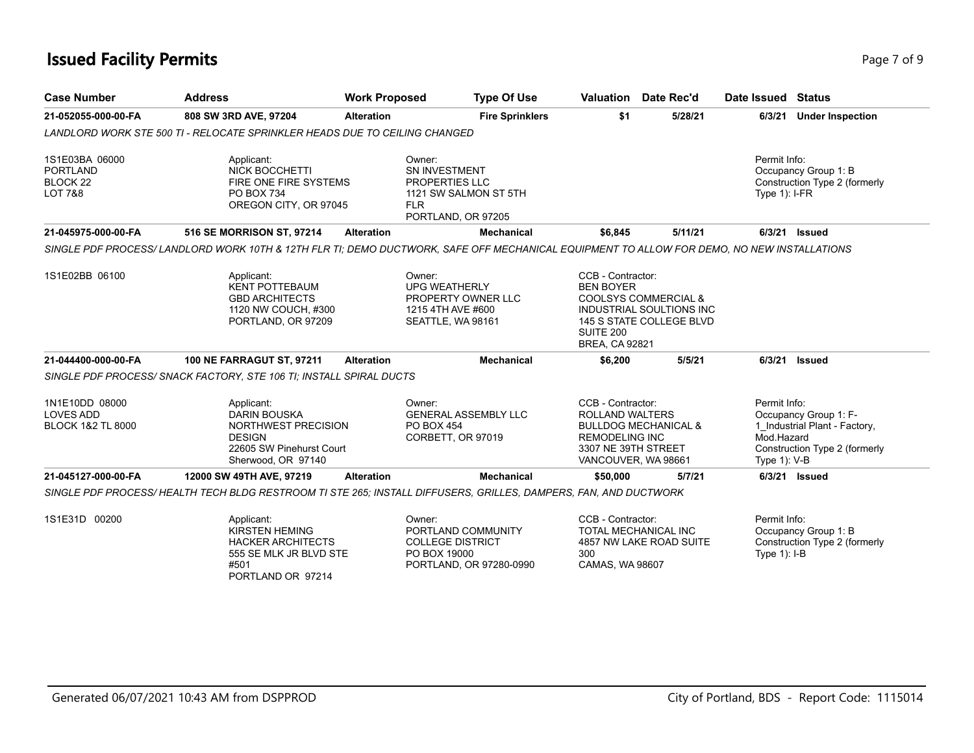# **Issued Facility Permits** Provide a strategies of 9 and 2000 and 2000 and 2000 and 2000 and 2000 and 2000 and 2000 and 2000 and 2000 and 2000 and 2000 and 2000 and 2000 and 2000 and 2000 and 2000 and 2000 and 2000 and 2000

| <b>Case Number</b>                                                             | <b>Address</b>                                                                                                                            | <b>Work Proposed</b> | <b>Type Of Use</b>                                                                                 |                                                                                                                    | Valuation Date Rec'd                                                                    | Date Issued Status                                                                                                                       |  |
|--------------------------------------------------------------------------------|-------------------------------------------------------------------------------------------------------------------------------------------|----------------------|----------------------------------------------------------------------------------------------------|--------------------------------------------------------------------------------------------------------------------|-----------------------------------------------------------------------------------------|------------------------------------------------------------------------------------------------------------------------------------------|--|
| 21-052055-000-00-FA                                                            | 808 SW 3RD AVE, 97204                                                                                                                     | <b>Alteration</b>    | <b>Fire Sprinklers</b>                                                                             | \$1                                                                                                                | 5/28/21                                                                                 | 6/3/21<br><b>Under Inspection</b>                                                                                                        |  |
|                                                                                | LANDLORD WORK STE 500 TI - RELOCATE SPRINKLER HEADS DUE TO CEILING CHANGED                                                                |                      |                                                                                                    |                                                                                                                    |                                                                                         |                                                                                                                                          |  |
| 1S1E03BA 06000<br><b>PORTLAND</b><br>BLOCK <sub>22</sub><br><b>LOT 7&amp;8</b> | Applicant:<br>NICK BOCCHETTI<br>FIRE ONE FIRE SYSTEMS<br>PO BOX 734<br>OREGON CITY, OR 97045                                              | <b>FLR</b>           | Owner:<br>SN INVESTMENT<br>PROPERTIES LLC<br>1121 SW SALMON ST 5TH<br>PORTLAND, OR 97205           |                                                                                                                    |                                                                                         | Permit Info:<br>Occupancy Group 1: B<br>Construction Type 2 (formerly<br>Type $1$ : I-FR                                                 |  |
| 21-045975-000-00-FA                                                            | 516 SE MORRISON ST, 97214                                                                                                                 | <b>Alteration</b>    | <b>Mechanical</b>                                                                                  | \$6,845                                                                                                            | 5/11/21                                                                                 | 6/3/21 Issued                                                                                                                            |  |
|                                                                                | SINGLE PDF PROCESS/LANDLORD WORK 10TH & 12TH FLR TI; DEMO DUCTWORK, SAFE OFF MECHANICAL EQUIPMENT TO ALLOW FOR DEMO, NO NEW INSTALLATIONS |                      |                                                                                                    |                                                                                                                    |                                                                                         |                                                                                                                                          |  |
| 1S1E02BB 06100                                                                 | Applicant:<br><b>KENT POTTEBAUM</b><br><b>GBD ARCHITECTS</b><br>1120 NW COUCH, #300<br>PORTLAND, OR 97209                                 |                      | Owner:<br><b>UPG WEATHERLY</b><br>PROPERTY OWNER LLC<br>1215 4TH AVE #600<br>SEATTLE, WA 98161     | CCB - Contractor:<br><b>BEN BOYER</b><br>SUITE 200<br><b>BREA, CA 92821</b>                                        | <b>COOLSYS COMMERCIAL &amp;</b><br>INDUSTRIAL SOULTIONS INC<br>145 S STATE COLLEGE BLVD |                                                                                                                                          |  |
| 21-044400-000-00-FA                                                            | <b>100 NE FARRAGUT ST, 97211</b>                                                                                                          | <b>Alteration</b>    | <b>Mechanical</b>                                                                                  | \$6,200                                                                                                            | 5/5/21                                                                                  | 6/3/21<br><b>Issued</b>                                                                                                                  |  |
|                                                                                | SINGLE PDF PROCESS/ SNACK FACTORY, STE 106 TI; INSTALL SPIRAL DUCTS                                                                       |                      |                                                                                                    |                                                                                                                    |                                                                                         |                                                                                                                                          |  |
| 1N1E10DD 08000<br><b>LOVES ADD</b><br><b>BLOCK 1&amp;2 TL 8000</b>             | Applicant:<br><b>DARIN BOUSKA</b><br>NORTHWEST PRECISION<br><b>DESIGN</b><br>22605 SW Pinehurst Court<br>Sherwood, OR 97140               |                      | Owner:<br><b>GENERAL ASSEMBLY LLC</b><br><b>PO BOX 454</b><br>CORBETT, OR 97019                    | CCB - Contractor:<br><b>ROLLAND WALTERS</b><br><b>REMODELING INC</b><br>3307 NE 39TH STREET<br>VANCOUVER, WA 98661 | <b>BULLDOG MECHANICAL &amp;</b>                                                         | Permit Info:<br>Occupancy Group 1: F-<br>1_Industrial Plant - Factory,<br>Mod.Hazard<br>Construction Type 2 (formerly<br>Type $1$ ): V-B |  |
| 21-045127-000-00-FA                                                            | 12000 SW 49TH AVE, 97219                                                                                                                  | <b>Alteration</b>    | <b>Mechanical</b>                                                                                  | \$50,000                                                                                                           | 5/7/21                                                                                  | 6/3/21 Issued                                                                                                                            |  |
|                                                                                | SINGLE PDF PROCESS/HEALTH TECH BLDG RESTROOM TI STE 265: INSTALL DIFFUSERS, GRILLES, DAMPERS, FAN, AND DUCTWORK                           |                      |                                                                                                    |                                                                                                                    |                                                                                         |                                                                                                                                          |  |
| 1S1E31D 00200                                                                  | Applicant:<br><b>KIRSTEN HEMING</b><br><b>HACKER ARCHITECTS</b><br>555 SE MLK JR BLVD STE<br>#501<br>PORTLAND OR 97214                    |                      | Owner:<br>PORTLAND COMMUNITY<br><b>COLLEGE DISTRICT</b><br>PO BOX 19000<br>PORTLAND, OR 97280-0990 | CCB - Contractor:<br>300<br>CAMAS, WA 98607                                                                        | TOTAL MECHANICAL INC<br>4857 NW LAKE ROAD SUITE                                         | Permit Info:<br>Occupancy Group 1: B<br>Construction Type 2 (formerly<br>Type $1$ : I-B                                                  |  |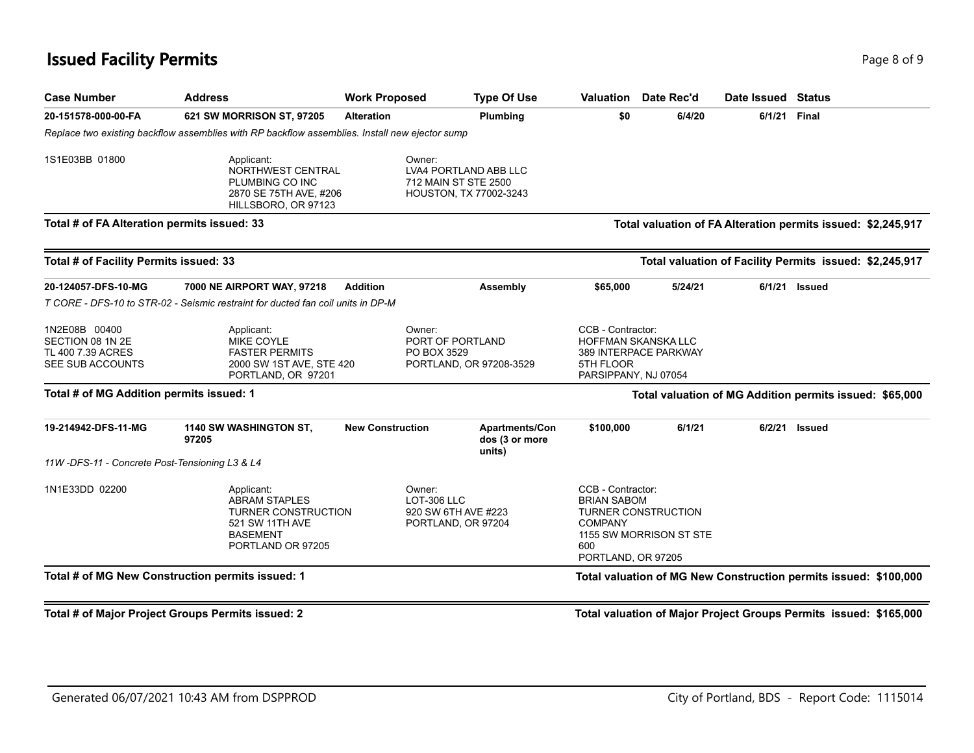# **Issued Facility Permits** Page 8 of 9 Page 8 of 9

| <b>Case Number</b>                                                         | <b>Address</b>                                                                                                              | <b>Work Proposed</b>                                                 | <b>Type Of Use</b>                                                      | Valuation                                                                                              | Date Rec'd                                            | Date Issued Status |                                                                  |
|----------------------------------------------------------------------------|-----------------------------------------------------------------------------------------------------------------------------|----------------------------------------------------------------------|-------------------------------------------------------------------------|--------------------------------------------------------------------------------------------------------|-------------------------------------------------------|--------------------|------------------------------------------------------------------|
| 20-151578-000-00-FA                                                        | 621 SW MORRISON ST, 97205                                                                                                   | <b>Alteration</b>                                                    | Plumbing                                                                | \$0                                                                                                    | 6/4/20                                                | 6/1/21             | <b>Final</b>                                                     |
|                                                                            | Replace two existing backflow assemblies with RP backflow assemblies. Install new ejector sump                              |                                                                      |                                                                         |                                                                                                        |                                                       |                    |                                                                  |
| 1S1E03BB 01800                                                             | Applicant:<br>NORTHWEST CENTRAL<br>PLUMBING CO INC<br>2870 SE 75TH AVE, #206<br>HILLSBORO, OR 97123                         | Owner:                                                               | LVA4 PORTLAND ABB LLC<br>712 MAIN ST STE 2500<br>HOUSTON, TX 77002-3243 |                                                                                                        |                                                       |                    |                                                                  |
| Total # of FA Alteration permits issued: 33                                |                                                                                                                             |                                                                      |                                                                         |                                                                                                        |                                                       |                    | Total valuation of FA Alteration permits issued: \$2,245,917     |
| Total # of Facility Permits issued: 33                                     |                                                                                                                             |                                                                      |                                                                         |                                                                                                        |                                                       |                    | Total valuation of Facility Permits issued: \$2,245,917          |
| 20-124057-DFS-10-MG                                                        | 7000 NE AIRPORT WAY, 97218                                                                                                  | <b>Addition</b>                                                      | Assembly                                                                | \$65,000                                                                                               | 5/24/21                                               | 6/1/21             | <b>Issued</b>                                                    |
|                                                                            | T CORE - DFS-10 to STR-02 - Seismic restraint for ducted fan coil units in DP-M                                             |                                                                      |                                                                         |                                                                                                        |                                                       |                    |                                                                  |
| 1N2E08B 00400<br>SECTION 08 1N 2E<br>TL 400 7.39 ACRES<br>SEE SUB ACCOUNTS | Applicant:<br><b>MIKE COYLE</b><br><b>FASTER PERMITS</b><br>2000 SW 1ST AVE, STE 420<br>PORTLAND, OR 97201                  | Owner:<br>PORT OF PORTLAND<br>PO BOX 3529<br>PORTLAND, OR 97208-3529 |                                                                         | CCB - Contractor:<br>HOFFMAN SKANSKA LLC<br>389 INTERPACE PARKWAY<br>5TH FLOOR<br>PARSIPPANY, NJ 07054 |                                                       |                    |                                                                  |
| Total # of MG Addition permits issued: 1                                   |                                                                                                                             |                                                                      |                                                                         |                                                                                                        |                                                       |                    | Total valuation of MG Addition permits issued: \$65,000          |
| 19-214942-DFS-11-MG                                                        | 1140 SW WASHINGTON ST,<br>97205                                                                                             | <b>New Construction</b>                                              | Apartments/Con<br>dos (3 or more<br>units)                              | \$100,000                                                                                              | 6/1/21                                                | 6/2/21             | <b>Issued</b>                                                    |
| 11W-DFS-11 - Concrete Post-Tensioning L3 & L4                              |                                                                                                                             |                                                                      |                                                                         |                                                                                                        |                                                       |                    |                                                                  |
| 1N1E33DD 02200                                                             | Applicant:<br><b>ABRAM STAPLES</b><br><b>TURNER CONSTRUCTION</b><br>521 SW 11TH AVE<br><b>BASEMENT</b><br>PORTLAND OR 97205 | Owner:<br>LOT-306 LLC                                                | 920 SW 6TH AVE #223<br>PORTLAND, OR 97204                               | CCB - Contractor:<br><b>BRIAN SABOM</b><br><b>COMPANY</b><br>600<br>PORTLAND, OR 97205                 | <b>TURNER CONSTRUCTION</b><br>1155 SW MORRISON ST STE |                    |                                                                  |
|                                                                            | Total # of MG New Construction permits issued: 1                                                                            |                                                                      |                                                                         |                                                                                                        |                                                       |                    | Total valuation of MG New Construction permits issued: \$100,000 |

**Total # of Major Project Groups Permits issued: 2 Total valuation of Major Project Groups Permits issued: \$165,000**